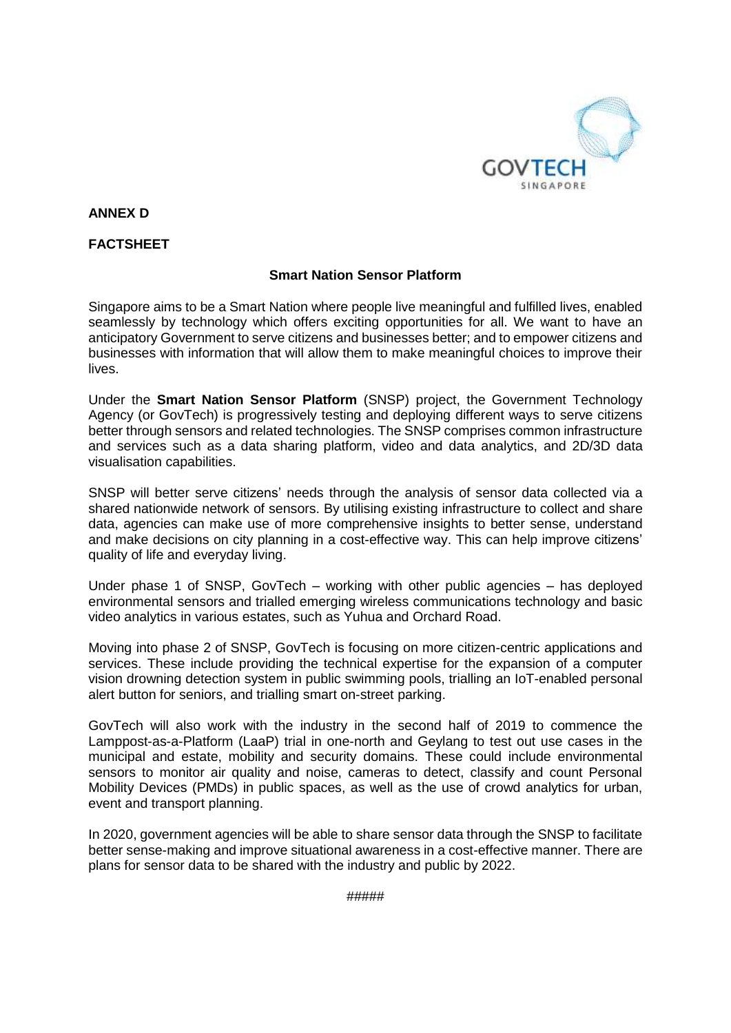

**ANNEX D** 

## **FACTSHEET**

## **Smart Nation Sensor Platform**

Singapore aims to be a Smart Nation where people live meaningful and fulfilled lives, enabled seamlessly by technology which offers exciting opportunities for all. We want to have an anticipatory Government to serve citizens and businesses better; and to empower citizens and businesses with information that will allow them to make meaningful choices to improve their lives.

Under the **Smart Nation Sensor Platform** (SNSP) project, the Government Technology Agency (or GovTech) is progressively testing and deploying different ways to serve citizens better through sensors and related technologies. The SNSP comprises common infrastructure and services such as a data sharing platform, video and data analytics, and 2D/3D data visualisation capabilities.

SNSP will better serve citizens' needs through the analysis of sensor data collected via a shared nationwide network of sensors. By utilising existing infrastructure to collect and share data, agencies can make use of more comprehensive insights to better sense, understand and make decisions on city planning in a cost-effective way. This can help improve citizens' quality of life and everyday living.

Under phase 1 of SNSP, GovTech – working with other public agencies – has deployed environmental sensors and trialled emerging wireless communications technology and basic video analytics in various estates, such as Yuhua and Orchard Road.

Moving into phase 2 of SNSP, GovTech is focusing on more citizen-centric applications and services. These include providing the technical expertise for the expansion of a computer vision drowning detection system in public swimming pools, trialling an IoT-enabled personal alert button for seniors, and trialling smart on-street parking.

GovTech will also work with the industry in the second half of 2019 to commence the Lamppost-as-a-Platform (LaaP) trial in one-north and Geylang to test out use cases in the municipal and estate, mobility and security domains. These could include environmental sensors to monitor air quality and noise, cameras to detect, classify and count Personal Mobility Devices (PMDs) in public spaces, as well as the use of crowd analytics for urban, event and transport planning.

In 2020, government agencies will be able to share sensor data through the SNSP to facilitate better sense-making and improve situational awareness in a cost-effective manner. There are plans for sensor data to be shared with the industry and public by 2022.

#####